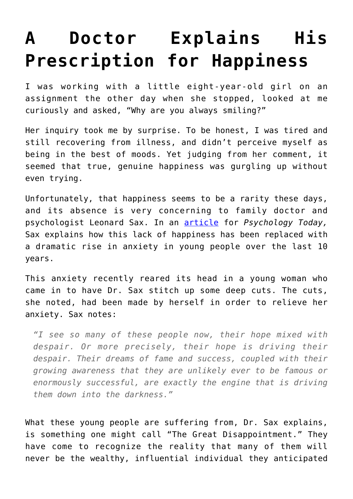## **[A Doctor Explains His](https://intellectualtakeout.org/2018/08/a-doctor-explains-his-prescription-for-happiness/) [Prescription for Happiness](https://intellectualtakeout.org/2018/08/a-doctor-explains-his-prescription-for-happiness/)**

I was working with a little eight-year-old girl on an assignment the other day when she stopped, looked at me curiously and asked, "Why are you always smiling?"

Her inquiry took me by surprise. To be honest, I was tired and still recovering from illness, and didn't perceive myself as being in the best of moods. Yet judging from her comment, it seemed that true, genuine happiness was gurgling up without even trying.

Unfortunately, that happiness seems to be a rarity these days, and its absence is very concerning to family doctor and psychologist Leonard Sax. In an [article](https://www.psychologytoday.com/us/blog/sax-sex/201808/the-great-disappointment) for *Psychology Today,* Sax explains how this lack of happiness has been replaced with a dramatic rise in anxiety in young people over the last 10 years.

This anxiety recently reared its head in a young woman who came in to have Dr. Sax stitch up some deep cuts. The cuts, she noted, had been made by herself in order to relieve her anxiety. Sax notes:

*"I see so many of these people now, their hope mixed with despair. Or more precisely, their hope is driving their despair. Their dreams of fame and success, coupled with their growing awareness that they are unlikely ever to be famous or enormously successful, are exactly the engine that is driving them down into the darkness."*

What these young people are suffering from, Dr. Sax explains, is something one might call "The Great Disappointment." They have come to recognize the reality that many of them will never be the wealthy, influential individual they anticipated